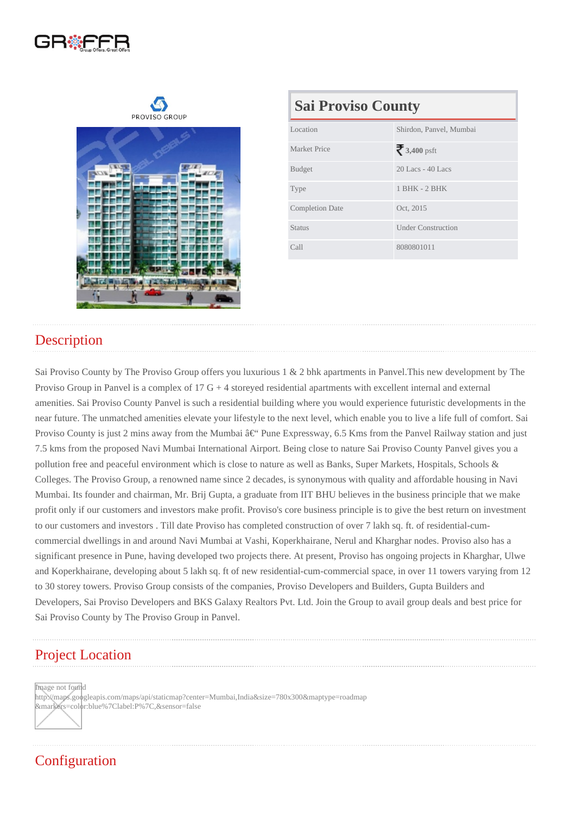| <b>Sai Proviso County</b> |                           |  |  |  |
|---------------------------|---------------------------|--|--|--|
| Location                  | Shirdon, Panvel, Mumbai   |  |  |  |
| <b>Market Price</b>       | 3,400psft                 |  |  |  |
| <b>Budget</b>             | 20 Lacs - $40$ Lacs       |  |  |  |
| <b>Type</b>               | 1 BHK - 2 BHK             |  |  |  |
| <b>Completion Date</b>    | Oct. 2015                 |  |  |  |
| <b>Status</b>             | <b>Under Construction</b> |  |  |  |
| Call                      | 8080801011                |  |  |  |

## **Description**

Sai Proviso County by The Proviso Group offers you luxurious 1 & 2 bhk apartments in Panvel.This new development by The Proviso Group in Panvel is a complex of 17 G + 4 storeyed residential apartments with excellent internal and external amenities. Sai Proviso County Panvel is such a residential building where you would experience futuristic developments in the near future. The unmatched amenities elevate your lifestyle to the next level, which enable you to live a life full of comfort. Sai Proviso County is just 2 mins away from the Mumbai  $\hat{a} \in \hat{B}$  Pune Expressway, 6.5 Kms from the Panvel Railway station and just 7.5 kms from the proposed Navi Mumbai International Airport. Being close to nature Sai Proviso County Panvel gives you a pollution free and peaceful environment which is close to nature as well as Banks, Super Markets, Hospitals, Schools & Colleges. The Proviso Group, a renowned name since 2 decades, is synonymous with quality and affordable housing in Navi Mumbai. Its founder and chairman, Mr. Brij Gupta, a graduate from IIT BHU believes in the business principle that we make profit only if our customers and investors make profit. Proviso's core business principle is to give the best return on investment to our customers and investors . Till date Proviso has completed construction of over 7 lakh sq. ft. of residential-cumcommercial dwellings in and around Navi Mumbai at Vashi, Koperkhairane, Nerul and Kharghar nodes. Proviso also has a significant presence in Pune, having developed two projects there. At present, Proviso has ongoing projects in Kharghar, Ulwe and Koperkhairane, developing about 5 lakh sq. ft of new residential-cum-commercial space, in over 11 towers varying from 12 to 30 storey towers. Proviso Group consists of the companies, Proviso Developers and Builders, Gupta Builders and Developers, Sai Proviso Developers and BKS Galaxy Realtors Pvt. Ltd. Join the Group to avail group deals and best price for Sai Proviso County by The Proviso Group in Panvel.

### Project Location

Image not found

http://maps.googleapis.com/maps/api/staticmap?center=Mumbai,India&size=780x300&maptype=roadmap &markers=color:blue%7Clabel:P%7C,&sensor=false

# **Configuration**